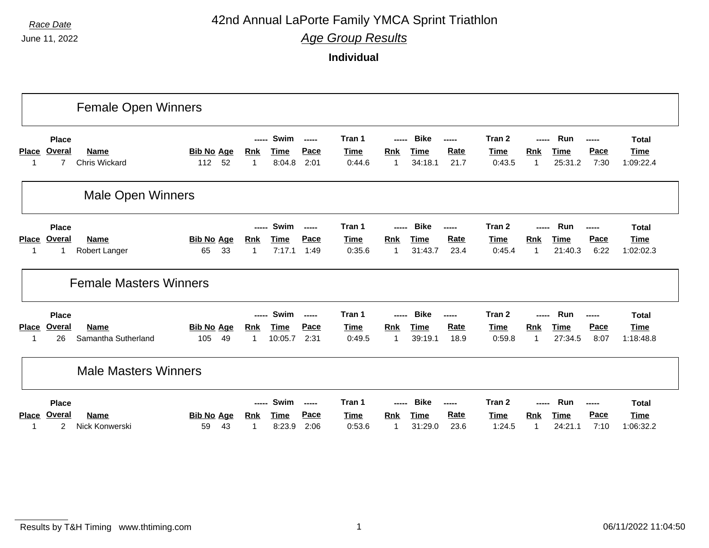*Race Date* **42nd Annual LaPorte Family YMCA Sprint Triathlon** 

*Age Group Results*

|                   |                                                 | <b>Female Open Winners</b>          |                                |                                     |                               |                                          |                                 |                                     |                                       |                              |                                 |                                     |                               |                              |                                          |
|-------------------|-------------------------------------------------|-------------------------------------|--------------------------------|-------------------------------------|-------------------------------|------------------------------------------|---------------------------------|-------------------------------------|---------------------------------------|------------------------------|---------------------------------|-------------------------------------|-------------------------------|------------------------------|------------------------------------------|
| <b>Place</b>      | <b>Place</b><br><b>Overal</b><br>7              | <b>Name</b><br><b>Chris Wickard</b> | <b>Bib No Age</b><br>52<br>112 | -----<br><b>Rnk</b><br>-1           | Swim<br><b>Time</b><br>8:04.8 | $\sim$ - $\sim$ - $\sim$<br>Pace<br>2:01 | Tran 1<br><b>Time</b><br>0:44.6 | -----<br><b>Rnk</b><br>1            | <b>Bike</b><br><b>Time</b><br>34:18.1 | -----<br>Rate<br>21.7        | Tran 2<br><u>Time</u><br>0:43.5 | -----<br><b>Rnk</b><br>$\mathbf 1$  | Run<br><b>Time</b><br>25:31.2 | <b>Pace</b><br>7:30          | <b>Total</b><br><b>Time</b><br>1:09:22.4 |
|                   |                                                 | <b>Male Open Winners</b>            |                                |                                     |                               |                                          |                                 |                                     |                                       |                              |                                 |                                     |                               |                              |                                          |
| <b>Place</b><br>1 | <b>Place</b><br>Overal<br>1                     | <b>Name</b><br>Robert Langer        | <b>Bib No Age</b><br>33<br>65  | <u>Rnk</u><br>$\mathbf 1$           | Swim<br><b>Time</b><br>7:17.1 | $- - - - -$<br>Pace<br>1:49              | Tran 1<br><b>Time</b><br>0:35.6 | -----<br><u>Rnk</u><br>$\mathbf{1}$ | <b>Bike</b><br><b>Time</b><br>31:43.7 | -----<br><b>Rate</b><br>23.4 | Tran 2<br><u>Time</u><br>0:45.4 | -----<br><b>Rnk</b><br>$\mathbf{1}$ | Run<br><b>Time</b><br>21:40.3 | <b>Pace</b><br>6:22          | <b>Total</b><br><b>Time</b><br>1:02:02.3 |
|                   |                                                 | <b>Female Masters Winners</b>       |                                |                                     |                               |                                          |                                 |                                     |                                       |                              |                                 |                                     |                               |                              |                                          |
| <b>Place</b><br>1 | <b>Place</b><br>Overal<br>26                    | <b>Name</b><br>Samantha Sutherland  | <b>Bib No Age</b><br>105<br>49 | -----<br><b>Rnk</b><br>1            | Swim<br>Time<br>10:05.7       | $\sim$ - $\sim$ - $\sim$<br>Pace<br>2:31 | Tran 1<br>Time<br>0:49.5        | -----<br>Rnk<br>1                   | <b>Bike</b><br><b>Time</b><br>39:19.1 | -----<br>Rate<br>18.9        | Tran 2<br><u>Time</u><br>0:59.8 | -----<br><b>Rnk</b><br>$\mathbf{1}$ | Run<br><b>Time</b><br>27:34.5 | -----<br><b>Pace</b><br>8:07 | <b>Total</b><br><b>Time</b><br>1:18:48.8 |
|                   |                                                 | <b>Male Masters Winners</b>         |                                |                                     |                               |                                          |                                 |                                     |                                       |                              |                                 |                                     |                               |                              |                                          |
| <b>Place</b>      | <b>Place</b><br><b>Overal</b><br>$\overline{c}$ | <b>Name</b><br>Nick Konwerski       | <b>Bib No Age</b><br>43<br>59  | -----<br><u>Rnk</u><br>$\mathbf{1}$ | Swim<br>Time<br>8:23.9        | $-0.000$<br>Pace<br>2:06                 | Tran 1<br>Time<br>0:53.6        | -----<br>Rnk<br>1                   | <b>Bike</b><br><b>Time</b><br>31:29.0 | -----<br><b>Rate</b><br>23.6 | Tran 2<br><u>Time</u><br>1:24.5 | -----<br>Rnk<br>1                   | Run<br><b>Time</b><br>24:21.1 | -----<br><b>Pace</b><br>7:10 | <b>Total</b><br><b>Time</b><br>1:06:32.2 |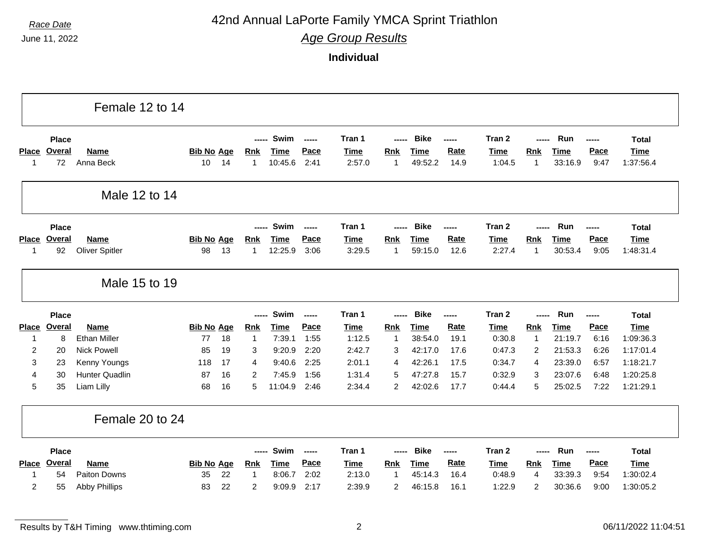### *Race Date* **42nd Annual LaPorte Family YMCA Sprint Triathlon**

*Age Group Results*

|                             |                                     | Female 12 to 14                             |                         |          |                               |                                |                             |                                 |                     |                                       |                        |                                 |                          |                               |                       |                                          |
|-----------------------------|-------------------------------------|---------------------------------------------|-------------------------|----------|-------------------------------|--------------------------------|-----------------------------|---------------------------------|---------------------|---------------------------------------|------------------------|---------------------------------|--------------------------|-------------------------------|-----------------------|------------------------------------------|
| <b>Place</b><br>$\mathbf 1$ | <b>Place</b><br><b>Overal</b><br>72 | <b>Name</b><br>Anna Beck                    | <b>Bib No Age</b><br>10 | 14       | -----<br><b>Rnk</b><br>1      | Swim<br><b>Time</b><br>10:45.6 | $- - - - -$<br>Pace<br>2:41 | Tran 1<br><b>Time</b><br>2:57.0 | -----<br>Rnk<br>1   | <b>Bike</b><br><b>Time</b><br>49:52.2 | ------<br>Rate<br>14.9 | Tran 2<br><b>Time</b><br>1:04.5 | -----<br><b>Rnk</b><br>1 | Run<br><b>Time</b><br>33:16.9 | -----<br>Pace<br>9:47 | <b>Total</b><br><b>Time</b><br>1:37:56.4 |
|                             |                                     | Male 12 to 14                               |                         |          |                               |                                |                             |                                 |                     |                                       |                        |                                 |                          |                               |                       |                                          |
|                             | <b>Place</b>                        |                                             |                         |          |                               | Swim                           | $\frac{1}{2}$               | Tran 1                          |                     | <b>Bike</b>                           | -----                  | Tran 2                          |                          | Run                           |                       | <b>Total</b>                             |
| <b>Place</b><br>$\mathbf 1$ | <b>Overal</b><br>92                 | Name<br><b>Oliver Spitler</b>               | <b>Bib No Age</b><br>98 | 13       | <b>Rnk</b><br>1               | <b>Time</b><br>12:25.9         | Pace<br>3:06                | <b>Time</b><br>3:29.5           | <b>Rnk</b><br>1     | <b>Time</b><br>59:15.0                | Rate<br>12.6           | <b>Time</b><br>2:27.4           | <b>Rnk</b><br>1          | <b>Time</b><br>30:53.4        | Pace<br>9:05          | <b>Time</b><br>1:48:31.4                 |
|                             |                                     | Male 15 to 19                               |                         |          |                               |                                |                             |                                 |                     |                                       |                        |                                 |                          |                               |                       |                                          |
|                             | <b>Place</b>                        |                                             |                         |          | -----                         | Swim                           | $- - - - -$                 | Tran 1                          |                     | <b>Bike</b>                           | -----                  | Tran 2                          |                          | Run                           | -----                 | <b>Total</b>                             |
| <b>Place</b>                | <b>Overal</b>                       | <b>Name</b>                                 | <b>Bib No Age</b>       |          | <b>Rnk</b>                    | <b>Time</b>                    | Pace                        | <b>Time</b>                     | Rnk                 | <b>Time</b>                           | Rate                   | <b>Time</b>                     | Rnk                      | <b>Time</b>                   | Pace                  | <b>Time</b>                              |
| 1                           | 8                                   | <b>Ethan Miller</b>                         | 77                      | 18       | $\mathbf{1}$                  | 7:39.1                         | 1:55                        | 1:12.5                          | $\mathbf 1$         | 38:54.0                               | 19.1                   | 0:30.8                          | 1                        | 21:19.7                       | 6:16                  | 1:09:36.3                                |
| $\overline{c}$<br>3         | 20<br>23                            | <b>Nick Powell</b><br>Kenny Youngs          | 85<br>118               | 19<br>17 | 3<br>4                        | 9:20.9<br>9:40.6               | 2:20<br>2:25                | 2:42.7<br>2:01.1                | 3<br>4              | 42:17.0<br>42:26.1                    | 17.6<br>17.5           | 0:47.3<br>0:34.7                | 2<br>4                   | 21:53.3<br>23:39.0            | 6:26<br>6:57          | 1:17:01.4<br>1:18:21.7                   |
| 4                           | 30                                  | <b>Hunter Quadlin</b>                       | 87                      | 16       | 2                             | 7:45.9                         | 1:56                        | 1:31.4                          | 5                   | 47:27.8                               | 15.7                   | 0:32.9                          | 3                        | 23:07.6                       | 6:48                  | 1:20:25.8                                |
| 5                           | 35                                  | Liam Lilly                                  | 68                      | 16       | 5                             | 11:04.9                        | 2:46                        | 2:34.4                          | $\overline{a}$      | 42:02.6                               | 17.7                   | 0:44.4                          | 5                        | 25:02.5                       | 7:22                  | 1:21:29.1                                |
|                             |                                     | Female 20 to 24                             |                         |          |                               |                                |                             |                                 |                     |                                       |                        |                                 |                          |                               |                       |                                          |
|                             |                                     |                                             |                         |          | -----                         | Swim                           | $\sim$                      | Tran 1                          | -----               | <b>Bike</b>                           | -----                  | Tran 2                          | -----                    | Run                           | ------                | <b>Total</b>                             |
|                             | <b>Place</b>                        |                                             |                         |          |                               |                                |                             |                                 |                     | <b>Time</b>                           | Rate                   | <b>Time</b>                     |                          |                               |                       |                                          |
| <b>Place</b>                | <b>Overal</b>                       | <b>Name</b>                                 | <b>Bib No Age</b>       |          | Rnk                           | <b>Time</b>                    | Pace                        | <b>Time</b>                     | Rnk                 |                                       |                        |                                 | <b>Rnk</b>               | <b>Time</b>                   | Pace                  | <b>Time</b>                              |
| 1<br>$\overline{2}$         | 54<br>55                            | <b>Paiton Downs</b><br><b>Abby Phillips</b> | 35<br>83                | 22<br>22 | $\mathbf 1$<br>$\overline{c}$ | 8:06.7<br>9:09.9               | 2:02<br>2:17                | 2:13.0<br>2:39.9                | $\overline{1}$<br>2 | 45:14.3<br>46:15.8                    | 16.4<br>16.1           | 0:48.9<br>1:22.9                | 4<br>$\overline{c}$      | 33:39.3<br>30:36.6            | 9:54<br>9:00          | 1:30:02.4<br>1:30:05.2                   |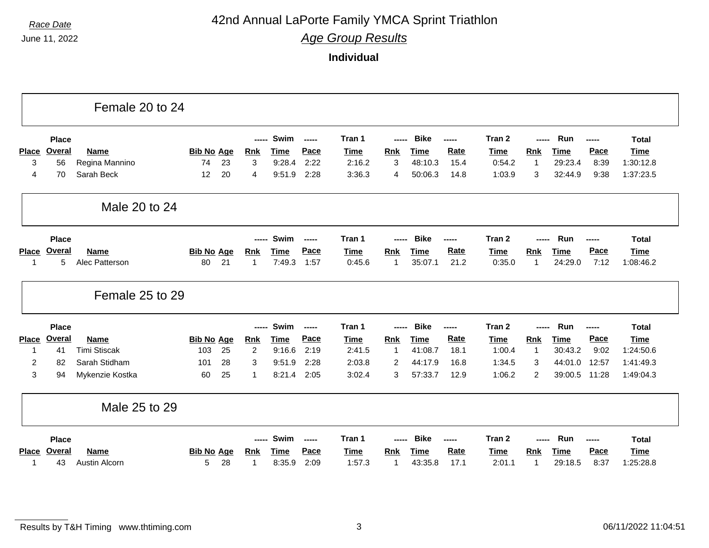### *Race Date* **42nd Annual LaPorte Family YMCA Sprint Triathlon**

*Age Group Results*

**Individual**

|              |              | Female 20 to 24              |                        |    |                 |                       |               |                       |                            |                 |              |                       |              |                        |              |                          |
|--------------|--------------|------------------------------|------------------------|----|-----------------|-----------------------|---------------|-----------------------|----------------------------|-----------------|--------------|-----------------------|--------------|------------------------|--------------|--------------------------|
|              | <b>Place</b> |                              |                        |    | -----           | Swim                  | -----         | Tran 1                | -----                      | <b>Bike</b>     | -----        | Tran 2                | -----        | Run                    | -----        | <b>Total</b>             |
| <b>Place</b> | Overal       | <b>Name</b>                  | <b>Bib No Age</b>      |    | <b>Rnk</b>      | Time                  | Pace          | <b>Time</b>           | <b>Rnk</b>                 | Time            | Rate         | <b>Time</b>           | Rnk          | <b>Time</b>            | Pace         | Time                     |
| 3            | 56           | Regina Mannino               | 74                     | 23 | 3               | 9:28.4                | 2:22          | 2:16.2                | 3                          | 48:10.3         | 15.4         | 0:54.2                | 1            | 29:23.4                | 8:39         | 1:30:12.8                |
| 4            | 70           | Sarah Beck                   | 12                     | 20 | 4               | 9:51.9                | 2:28          | 3:36.3                | $\overline{4}$             | 50:06.3         | 14.8         | 1:03.9                | 3            | 32:44.9                | 9:38         | 1:37:23.5                |
|              |              | Male 20 to 24                |                        |    |                 |                       |               |                       |                            |                 |              |                       |              |                        |              |                          |
|              | <b>Place</b> |                              |                        |    | -----           | Swim                  | ------        | Tran 1                | -----                      | <b>Bike</b>     | -----        | Tran 2                |              | Run                    | -----        | <b>Total</b>             |
| <b>Place</b> | Overal       | <b>Name</b>                  | <b>Bib No Age</b>      |    | <b>Rnk</b>      | Time                  | Pace          | Time                  | <b>Rnk</b>                 | Time            | <b>Rate</b>  | <b>Time</b>           | <b>Rnk</b>   | Time                   | Pace         | <b>Time</b>              |
| 1            | 5            | Alec Patterson               | 80                     | 21 | $\mathbf{1}$    | 7:49.3                | 1:57          | 0:45.6                | -1                         | 35:07.1         | 21.2         | 0:35.0                | 1            | 24:29.0                | 7:12         | 1:08:46.2                |
|              |              | Female 25 to 29              |                        |    |                 |                       |               |                       |                            |                 |              |                       |              |                        |              |                          |
|              | <b>Place</b> |                              |                        |    | -----           | Swim                  | $- - - - -$   | Tran 1                |                            | <b>Bike</b>     | -----        | Tran 2                |              | Run                    | -----        | <b>Total</b>             |
| <b>Place</b> | Overal       | <b>Name</b>                  | <b>Bib No Age</b>      |    | <b>Rnk</b>      | <b>Time</b>           | Pace          | <b>Time</b>           | <b>Rnk</b>                 | <b>Time</b>     | <b>Rate</b>  | <b>Time</b>           | <b>Rnk</b>   | <b>Time</b>            | <b>Pace</b>  | <b>Time</b>              |
| 1            | 41           | <b>Timi Stiscak</b>          | 103                    | 25 | $\overline{c}$  | 9:16.6                | 2:19          | 2:41.5                | -1                         | 41:08.7         | 18.1         | 1:00.4                | $\mathbf{1}$ | 30:43.2                | 9:02         | 1:24:50.6                |
| 2            | 82           | Sarah Stidham                | 101                    | 28 | 3               | 9:51.9                | 2:28          | 2:03.8                | $\overline{2}$             | 44:17.9         | 16.8         | 1:34.5                | 3            | 44:01.0                | 12:57        | 1:41:49.3                |
| 3            | 94           | Mykenzie Kostka              | 60                     | 25 | 1               | 8:21.4                | 2:05          | 3:02.4                | 3                          | 57:33.7         | 12.9         | 1:06.2                | 2            | 39:00.5                | 11:28        | 1:49:04.3                |
|              |              | Male 25 to 29                |                        |    |                 |                       |               |                       |                            |                 |              |                       |              |                        |              |                          |
|              | <b>Place</b> |                              |                        |    | -----           | Swim                  | $\frac{1}{2}$ | Tran 1                | -----                      | <b>Bike</b>     | -----        | Tran 2                | -----        | Run                    | -----        | <b>Total</b>             |
|              |              |                              |                        |    |                 |                       |               |                       |                            |                 |              |                       |              |                        |              |                          |
| <b>Place</b> | Overal<br>43 | <b>Name</b><br>Austin Alcorn | <b>Bib No Age</b><br>5 | 28 | <u>Rnk</u><br>1 | <b>Time</b><br>8:35.9 | Pace<br>2:09  | <b>Time</b><br>1:57.3 | <b>Rnk</b><br>$\mathbf{1}$ | Time<br>43:35.8 | Rate<br>17.1 | <b>Time</b><br>2:01.1 | Rnk<br>1     | <b>Time</b><br>29:18.5 | Pace<br>8:37 | <b>Time</b><br>1:25:28.8 |

Results by T&H Timing www.thtiming.com 3 3 and 3 06/11/2022 11:04:51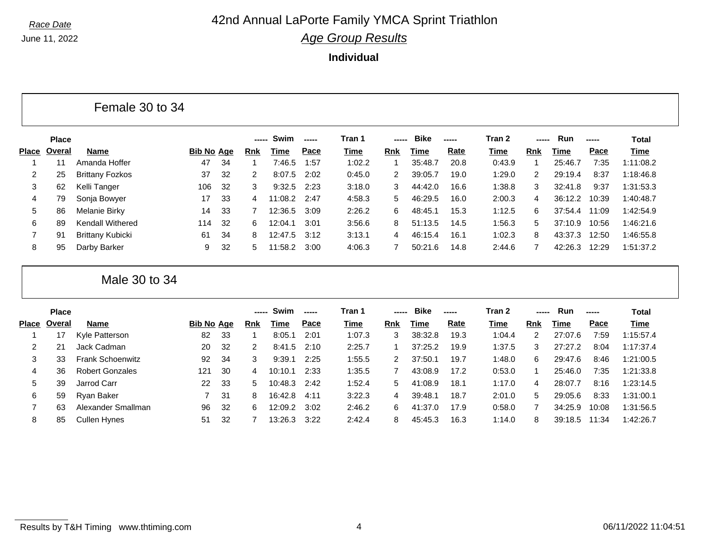June 11, 2022

# *Race Date* **42nd Annual LaPorte Family YMCA Sprint Triathlon**

*Age Group Results*

|              |              | Female 30 to 34         |                   |    |            |             |       |             |                |             |             |        |                |             |       |              |
|--------------|--------------|-------------------------|-------------------|----|------------|-------------|-------|-------------|----------------|-------------|-------------|--------|----------------|-------------|-------|--------------|
|              | <b>Place</b> |                         |                   |    | -----      | Swim        | ----- | Tran 1      | -----          | <b>Bike</b> | -----       | Tran 2 | -----          | Run         | ----- | <b>Total</b> |
| <b>Place</b> | Overal       | <b>Name</b>             | <b>Bib No Age</b> |    | <b>Rnk</b> | Time        | Pace  | Time        | Rnk            | Time        | <b>Rate</b> | Time   | <b>Rnk</b>     | <b>Time</b> | Pace  | <b>Time</b>  |
| -1           | 11           | Amanda Hoffer           | 47                | 34 | 1          | 7:46.5      | 1:57  | 1:02.2      | -1             | 35:48.7     | 20.8        | 0:43.9 | $\overline{1}$ | 25:46.7     | 7:35  | 1:11:08.2    |
| 2            | 25           | <b>Brittany Fozkos</b>  | 37                | 32 | 2          | 8:07.5      | 2:02  | 0:45.0      | 2              | 39:05.7     | 19.0        | 1:29.0 | 2              | 29:19.4     | 8:37  | 1:18:46.8    |
| 3            | 62           | Kelli Tanger            | 106               | 32 | 3          | 9:32.5      | 2:23  | 3:18.0      | 3              | 44:42.0     | 16.6        | 1:38.8 | 3              | 32:41.8     | 9:37  | 1:31:53.3    |
| 4            | 79           | Sonja Bowyer            | 17                | 33 | 4          | 11:08.2     | 2:47  | 4:58.3      | 5              | 46:29.5     | 16.0        | 2:00.3 | 4              | 36:12.2     | 10:39 | 1:40:48.7    |
| 5            | 86           | Melanie Birky           | 14                | 33 |            | 12:36.5     | 3:09  | 2:26.2      | 6              | 48:45.1     | 15.3        | 1:12.5 | 6              | 37:54.4     | 11:09 | 1:42:54.9    |
| 6            | 89           | <b>Kendall Withered</b> | 114               | 32 | 6          | 12:04.1     | 3:01  | 3:56.6      | 8              | 51:13.5     | 14.5        | 1:56.3 | 5              | 37:10.9     | 10:56 | 1:46:21.6    |
| 7            | 91           | <b>Brittany Kubicki</b> | 61                | 34 | 8          | 12:47.5     | 3:12  | 3:13.1      | 4              | 46:15.4     | 16.1        | 1:02.3 | 8              | 43:37.3     | 12:50 | 1:46:55.8    |
| 8            | 95           | Darby Barker            | 9                 | 32 | 5          | 11:58.2     | 3:00  | 4:06.3      | 7              | 50:21.6     | 14.8        | 2:44.6 | $\overline{7}$ | 42:26.3     | 12:29 | 1:51:37.2    |
|              |              | Male 30 to 34           |                   |    |            |             |       |             |                |             |             |        |                |             |       |              |
|              | <b>Place</b> |                         |                   |    | -----      | Swim        | ----- | Tran 1      | -----          | <b>Bike</b> | -----       | Tran 2 |                | Run         | ----- | <b>Total</b> |
| <b>Place</b> | Overal       | <b>Name</b>             | <b>Bib No Age</b> |    | <b>Rnk</b> | <b>Time</b> | Pace  | <b>Time</b> | <b>Rnk</b>     | <b>Time</b> | <b>Rate</b> | Time   | Rnk            | <b>Time</b> | Pace  | <b>Time</b>  |
|              | 17           | Kyle Patterson          | 82                | 33 | -1         | 8:05.1      | 2:01  | 1:07.3      | 3              | 38:32.8     | 19.3        | 1:04.4 | 2              | 27:07.6     | 7:59  | 1:15:57.4    |
| 2            | 21           | Jack Cadman             | 20                | 32 | 2          | 8:41.5      | 2:10  | 2:25.7      | -1             | 37:25.2     | 19.9        | 1:37.5 | 3              | 27:27.2     | 8:04  | 1:17:37.4    |
| 3            | 33           | <b>Frank Schoenwitz</b> | 92                | 34 | 3          | 9:39.1      | 2:25  | 1:55.5      | 2              | 37:50.1     | 19.7        | 1:48.0 | 6              | 29:47.6     | 8:46  | 1:21:00.5    |
| 4            | 36           | <b>Robert Gonzales</b>  | 121               | 30 | 4          | 10:10.1     | 2:33  | 1:35.5      | $\overline{7}$ | 43:08.9     | 17.2        | 0:53.0 |                | 25:46.0     | 7:35  | 1:21:33.8    |
| 5            | 39           | Jarrod Carr             | 22                | 33 | 5          | 10:48.3     | 2:42  | 1:52.4      | 5              | 41:08.9     | 18.1        | 1:17.0 | 4              | 28:07.7     | 8:16  | 1:23:14.5    |
| 6            | 59           | Ryan Baker              | 7                 | 31 | 8          | 16:42.8     | 4:11  | 3:22.3      | 4              | 39:48.1     | 18.7        | 2:01.0 | 5              | 29:05.6     | 8:33  | 1:31:00.1    |
| 7            | 63           | Alexander Smallman      | 96                | 32 | 6          | 12:09.2     | 3:02  | 2:46.2      | 6              | 41:37.0     | 17.9        | 0:58.0 |                | 34:25.9     | 10:08 | 1:31:56.5    |
| 8            | 85           | <b>Cullen Hynes</b>     | 51                | 32 |            | 13:26.3     | 3:22  | 2:42.4      | 8              | 45:45.3     | 16.3        | 1:14.0 | 8              | 39:18.5     | 11:34 | 1:42:26.7    |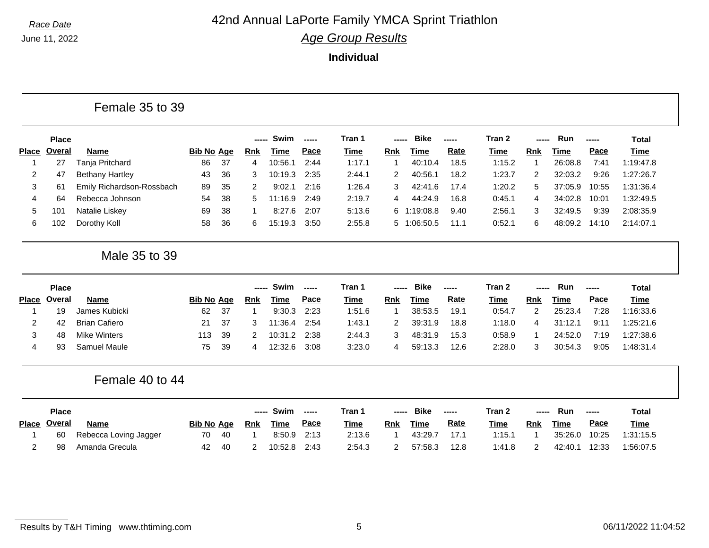June 11, 2022

Female 35 to 39

## *Race Date* **42nd Annual LaPorte Family YMCA Sprint Triathlon**

*Age Group Results*

**Individual**

|              | <b>Place</b> |                           |                   |    | ----- | Swim        | ----- | Tran 1      |             | <b>Bike</b> | ----- | Tran 2      |             | Run         | -----       | Total        |
|--------------|--------------|---------------------------|-------------------|----|-------|-------------|-------|-------------|-------------|-------------|-------|-------------|-------------|-------------|-------------|--------------|
| <b>Place</b> | Overal       | Name                      | <b>Bib No Age</b> |    | Rnk   | <b>Time</b> | Pace  | <u>Time</u> | <b>Rnk</b>  | Time        | Rate  | <b>Time</b> | <b>Rnk</b>  | Time        | Pace        | Time         |
|              | 27           | Tanja Pritchard           | 86                | 37 | 4     | 10:56.1     | 2:44  | 1:17.1      | 1           | 40:10.4     | 18.5  | 1:15.2      | $\mathbf 1$ | 26:08.8     | 7:41        | 1:19:47.8    |
| 2            | 47           | <b>Bethany Hartley</b>    | 43                | 36 | 3     | 10:19.3     | 2:35  | 2:44.1      | 2           | 40:56.1     | 18.2  | 1:23.7      | 2           | 32:03.2     | 9:26        | 1:27:26.7    |
| 3            | 61           | Emily Richardson-Rossbach | 89                | 35 | 2     | 9:02.1      | 2:16  | 1:26.4      | 3           | 42:41.6     | 17.4  | 1:20.2      | 5           | 37:05.9     | 10:55       | 1:31:36.4    |
| 4            | 64           | Rebecca Johnson           | 54                | 38 | 5     | 11:16.9     | 2:49  | 2:19.7      | 4           | 44:24.9     | 16.8  | 0:45.1      | 4           | 34:02.8     | 10:01       | 1:32:49.5    |
| 5            | 101          | Natalie Liskey            | 69                | 38 | 1     | 8:27.6      | 2:07  | 5:13.6      | 6           | 1:19:08.8   | 9.40  | 2:56.1      | 3           | 32:49.5     | 9:39        | 2:08:35.9    |
| 6            | 102          | Dorothy Koll              | 58                | 36 | 6     | 15:19.3     | 3:50  | 2:55.8      |             | 5 1:06:50.5 | 11.1  | 0:52.1      | 6           | 48:09.2     | 14:10       | 2:14:07.1    |
|              |              | Male 35 to 39             |                   |    |       |             |       |             |             |             |       |             |             |             |             |              |
|              | <b>Place</b> |                           |                   |    | ----- | Swim        | ----- | Tran 1      |             | <b>Bike</b> | ----- | Tran 2      | -----       | Run         | -----       | <b>Total</b> |
| <b>Place</b> | Overal       | <b>Name</b>               | <b>Bib No Age</b> |    | Rnk   | Time        | Pace  | <u>Time</u> | Rnk         | <b>Time</b> | Rate  | <u>Time</u> | <b>Rnk</b>  | <b>Time</b> | Pace        | Time         |
|              | 19           | James Kubicki             | 62                | 37 | -1    | 9:30.3      | 2:23  | 1:51.6      | $\mathbf 1$ | 38:53.5     | 19.1  | 0:54.7      | 2           | 25:23.4     | 7:28        | 1:16:33.6    |
| 2            | 42           | <b>Brian Cafiero</b>      | 21                | 37 | 3     | 11:36.4     | 2:54  | 1:43.1      | 2           | 39:31.9     | 18.8  | 1:18.0      | 4           | 31:12.1     | 9:11        | 1:25:21.6    |
| 3            | 48           | <b>Mike Winters</b>       | 113               | 39 | 2     | 10:31.2     | 2:38  | 2:44.3      | 3           | 48:31.9     | 15.3  | 0:58.9      | 1           | 24:52.0     | 7:19        | 1:27:38.6    |
| 4            | 93           | Samuel Maule              | 75                | 39 | 4     | 12:32.6     | 3:08  | 3:23.0      | 4           | 59:13.3     | 12.6  | 2:28.0      | 3           | 30:54.3     | 9:05        | 1:48:31.4    |
|              |              | Female 40 to 44           |                   |    |       |             |       |             |             |             |       |             |             |             |             |              |
|              | <b>Place</b> |                           |                   |    | ----- | Swim        |       | Tran 1      |             | <b>Bike</b> | ----- | Tran 2      | -----       | Run         | -----       | <b>Total</b> |
| <b>Place</b> | Overal       | <b>Name</b>               | <b>Bib No Age</b> |    | Rnk   | Time        | Pace  | Time        | <b>Rnk</b>  | Time        | Rate  | <b>Time</b> | Rnk         | Time        | <b>Pace</b> | Time         |
|              | 60           | Rebecca Loving Jagger     | 70                | 40 | 1     | 8:50.9      | 2:13  | 2:13.6      | 1           | 43:29.7     | 17.1  | 1:15.1      | 1           | 35:26.0     | 10:25       | 1:31:15.5    |

2 98 Amanda Grecula 42 40 2 10:52.8 2:43 2:54.3 2 57:58.3 12.8 1:41.8 2 42:40.1 12:33 1:56:07.5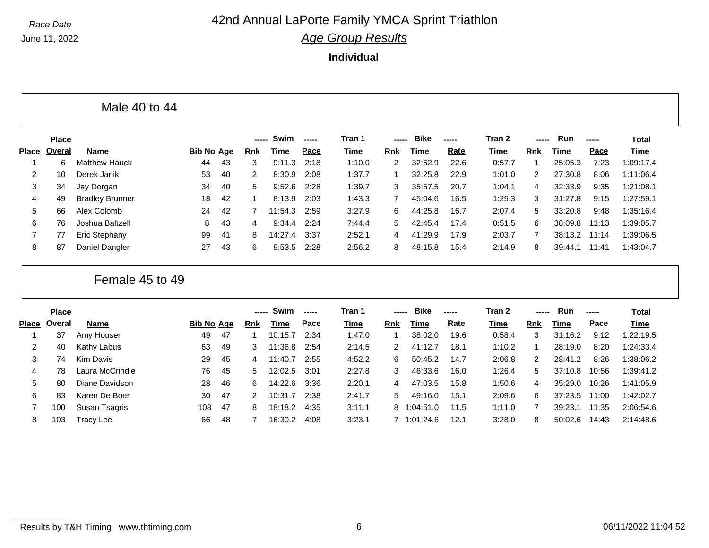June 11, 2022

Г

## *Race Date* **42nd Annual LaPorte Family YMCA Sprint Triathlon**

*Age Group Results*

|              |              | Male 40 to 44          |                   |    |            |             |       |        |                |             |             |             |            |             |       |              |  |
|--------------|--------------|------------------------|-------------------|----|------------|-------------|-------|--------|----------------|-------------|-------------|-------------|------------|-------------|-------|--------------|--|
|              | <b>Place</b> |                        |                   |    | -----      | Swim        | ----- | Tran 1 | -----          | <b>Bike</b> | -----       | Tran 2      | -----      | Run         | ----- | <b>Total</b> |  |
| <b>Place</b> | Overal       | <b>Name</b>            | <b>Bib No Age</b> |    | Rnk        | Time        | Pace  | Time   | <b>Rnk</b>     | <b>Time</b> | <b>Rate</b> | <b>Time</b> | <b>Rnk</b> | <b>Time</b> | Pace  | <b>Time</b>  |  |
|              | 6            | <b>Matthew Hauck</b>   | 44                | 43 | 3          | 9:11.3      | 2:18  | 1:10.0 | $\overline{2}$ | 32:52.9     | 22.6        | 0:57.7      | 1          | 25:05.3     | 7:23  | 1:09:17.4    |  |
| 2            | 10           | Derek Janik            | 53                | 40 | 2          | 8:30.9      | 2:08  | 1:37.7 |                | 32:25.8     | 22.9        | 1:01.0      | 2          | 27:30.8     | 8:06  | 1:11:06.4    |  |
| 3            | 34           | Jay Dorgan             | 34                | 40 | 5          | 9:52.6      | 2:28  | 1:39.7 | 3              | 35:57.5     | 20.7        | 1:04.1      | 4          | 32:33.9     | 9:35  | 1:21:08.1    |  |
| 4            | 49           | <b>Bradley Brunner</b> | 18                | 42 |            | 8:13.9      | 2:03  | 1:43.3 | $\overline{7}$ | 45:04.6     | 16.5        | 1:29.3      | 3          | 31:27.8     | 9:15  | 1:27:59.1    |  |
| 5            | 66           | Alex Colomb            | 24                | 42 |            | 11:54.3     | 2:59  | 3:27.9 | 6              | 44:25.8     | 16.7        | 2:07.4      | 5          | 33:20.8     | 9:48  | 1:35:16.4    |  |
| 6            | 76           | Joshua Baltzell        | 8                 | 43 | 4          | 9:34.4      | 2:24  | 7:44.4 | 5              | 42:45.4     | 17.4        | 0:51.5      | 6          | 38:09.8     | 11:13 | 1:39:05.7    |  |
| 7            | 77           | Eric Stephany          | 99                | 41 | 8          | 14:27.4     | 3:37  | 2:52.1 | 4              | 41:29.9     | 17.9        | 2:03.7      |            | 38:13.2     | 11:14 | 1:39:06.5    |  |
| 8            | 87           | Daniel Dangler         | 27                | 43 | 6          | 9:53.5      | 2:28  | 2:56.2 | 8              | 48:15.8     | 15.4        | 2:14.9      | 8          | 39:44.1     | 11:41 | 1:43:04.7    |  |
|              |              | Female 45 to 49        |                   |    |            |             |       |        |                |             |             |             |            |             |       |              |  |
|              | <b>Place</b> |                        |                   |    | -----      | Swim        | ----- | Tran 1 | -----          | <b>Bike</b> | -----       | Tran 2      | -----      | Run         | ----- | <b>Total</b> |  |
| <b>Place</b> | Overal       | <b>Name</b>            | <b>Bib No Age</b> |    | <b>Rnk</b> | <b>Time</b> | Pace  | Time   | <b>Rnk</b>     | <b>Time</b> | Rate        | Time        | <b>Rnk</b> | <b>Time</b> | Pace  | <b>Time</b>  |  |
|              | 37           | Amy Houser             | 49                | 47 |            | 10:15.7     | 2:34  | 1:47.0 | 1              | 38:02.0     | 19.6        | 0:58.4      | 3          | 31:16.2     | 9:12  | 1:22:19.5    |  |
| 2            | 40           | Kathy Labus            | 63                | 49 | 3          | 11:36.8     | 2:54  | 2:14.5 | 2              | 41:12.7     | 18.1        | 1:10.2      |            | 28:19.0     | 8:20  | 1:24:33.4    |  |
| 3            | 74           | <b>Kim Davis</b>       | 29                | 45 | 4          | 11:40.7     | 2:55  | 4:52.2 | 6              | 50:45.2     | 14.7        | 2:06.8      | 2          | 28:41.2     | 8:26  | 1:38:06.2    |  |
| 4            | 78           | Laura McCrindle        | 76                | 45 | 5          | 12:02.5     | 3:01  | 2:27.8 | 3              | 46:33.6     | 16.0        | 1:26.4      | 5          | 37:10.8     | 10:56 | 1:39:41.2    |  |
| 5            | 80           | Diane Davidson         | 28                | 46 | 6          | 14:22.6     | 3:36  | 2:20.1 | 4              | 47:03.5     | 15.8        | 1:50.6      | 4          | 35:29.0     | 10:26 | 1:41:05.9    |  |
| 6            | 83           | Karen De Boer          | 30                | 47 | 2          | 10:31.7     | 2:38  | 2:41.7 | 5.             | 49:16.0     | 15.1        | 2:09.6      | 6          | 37:23.5     | 11:00 | 1:42:02.7    |  |
| 7            | 100          | Susan Tsagris          | 108               | 47 | 8          | 18:18.2     | 4:35  | 3:11.1 | 8              | :04:51.0    | 11.5        | 1:11.0      |            | 39:23.1     | 11:35 | 2:06:54.6    |  |
| 8            | 103          | <b>Tracy Lee</b>       | 66                | 48 |            | 16:30.2     | 4:08  | 3:23.1 |                | 7 1:01:24.6 | 12.1        | 3:28.0      | 8          | 50:02.6     | 14:43 | 2:14:48.6    |  |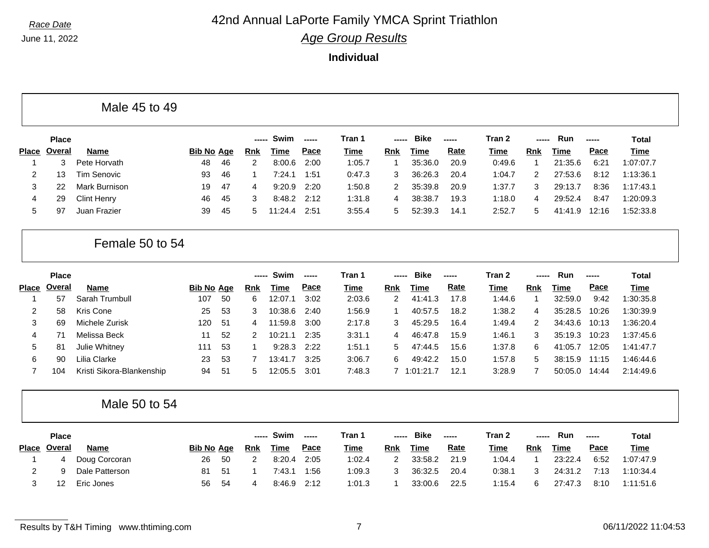June 11, 2022

### *Race Date* **42nd Annual LaPorte Family YMCA Sprint Triathlon**

*Age Group Results*

|                |               | Male 45 to 49             |                   |    |                |             |             |             |                         |             |       |             |                |         |               |              |
|----------------|---------------|---------------------------|-------------------|----|----------------|-------------|-------------|-------------|-------------------------|-------------|-------|-------------|----------------|---------|---------------|--------------|
|                | <b>Place</b>  |                           |                   |    | -----          | Swim        | $- - - - -$ | Tran 1      | -----                   | <b>Bike</b> | ----- | Tran 2      | -----          | Run     | $\frac{1}{2}$ | <b>Total</b> |
| <b>Place</b>   | <b>Overal</b> | Name                      | <b>Bib No Age</b> |    | <u>Rnk</u>     | Time        | Pace        | Time        | <b>Rnk</b>              | <b>Time</b> | Rate  | <b>Time</b> | Rnk            | Time    | Pace          | <b>Time</b>  |
| $\mathbf{1}$   | 3             | Pete Horvath              | 48                | 46 | $\overline{2}$ | 8:00.6      | 2:00        | 1:05.7      | -1                      | 35:36.0     | 20.9  | 0:49.6      | $\mathbf{1}$   | 21:35.6 | 6:21          | 1:07:07.7    |
| 2              | 13            | <b>Tim Senovic</b>        | 93                | 46 | -1             | 7:24.1      | 1:51        | 0:47.3      | 3                       | 36:26.3     | 20.4  | 1:04.7      | 2              | 27:53.6 | 8:12          | 1:13:36.1    |
| 3              | 22            | <b>Mark Burnison</b>      | 19                | 47 | 4              | 9:20.9      | 2:20        | 1:50.8      | 2                       | 35:39.8     | 20.9  | 1:37.7      | 3              | 29:13.7 | 8:36          | 1:17:43.1    |
| 4              | 29            | <b>Clint Henry</b>        | 46                | 45 | 3              | 8:48.2      | 2:12        | 1:31.8      | 4                       | 38:38.7     | 19.3  | 1:18.0      | 4              | 29:52.4 | 8:47          | 1:20:09.3    |
| 5              | 97            | Juan Frazier              | 39                | 45 | 5              | 11:24.4     | 2:51        | 3:55.4      | 5                       | 52:39.3     | 14.1  | 2:52.7      | 5              | 41:41.9 | 12:16         | 1:52:33.8    |
|                |               | Female 50 to 54           |                   |    |                |             |             |             |                         |             |       |             |                |         |               |              |
|                | <b>Place</b>  |                           |                   |    |                | Swim        | -----       | Tran 1      | -----                   | <b>Bike</b> | ----- | Tran 2      |                | Run     | -----         | <b>Total</b> |
| Place          | Overal        | <b>Name</b>               | <b>Bib No Age</b> |    | <b>Rnk</b>     | <b>Time</b> | Pace        | Time        | <b>Rnk</b>              | <b>Time</b> | Rate  | Time        | <b>Rnk</b>     | Time    | Pace          | <b>Time</b>  |
| -1             | 57            | Sarah Trumbull            | 107               | 50 | 6              | 12:07.1     | 3:02        | 2:03.6      | $\overline{2}$          | 41:41.3     | 17.8  | 1:44.6      | $\mathbf{1}$   | 32:59.0 | 9:42          | 1:30:35.8    |
| 2              | 58            | Kris Cone                 | 25                | 53 | 3              | 10:38.6     | 2:40        | 1:56.9      | $\overline{\mathbf{1}}$ | 40:57.5     | 18.2  | 1:38.2      | 4              | 35:28.5 | 10:26         | 1:30:39.9    |
| 3              | 69            | Michele Zurisk            | 120               | 51 | 4              | 11:59.8     | 3:00        | 2:17.8      | 3                       | 45:29.5     | 16.4  | 1:49.4      | $\overline{2}$ | 34:43.6 | 10:13         | 1:36:20.4    |
| 4              | 71            | Melissa Beck              | 11                | 52 | 2              | 10:21.1     | 2:35        | 3:31.1      | 4                       | 46:47.8     | 15.9  | 1:46.1      | 3              | 35:19.3 | 10:23         | 1:37:45.6    |
| 5              | 81            | Julie Whitney             | 111               | 53 | $\overline{1}$ | 9:28.3      | 2:22        | 1:51.1      | 5                       | 47:44.5     | 15.6  | 1:37.8      | 6              | 41:05.7 | 12:05         | 1:41:47.7    |
| 6              | 90            | Lilia Clarke              | 23                | 53 | 7              | 13:41.7     | 3:25        | 3:06.7      | 6                       | 49:42.2     | 15.0  | 1:57.8      | 5              | 38:15.9 | 11:15         | 1:46:44.6    |
| $\overline{7}$ | 104           | Kristi Sikora-Blankenship | 94                | 51 | 5              | 12:05.5     | 3:01        | 7:48.3      |                         | 7 1:01:21.7 | 12.1  | 3:28.9      | $\overline{7}$ | 50:05.0 | 14:44         | 2:14:49.6    |
|                |               | Male 50 to 54             |                   |    |                |             |             |             |                         |             |       |             |                |         |               |              |
|                | <b>Place</b>  |                           |                   |    |                | Swim        | -----       | Tran 1      | -----                   | <b>Bike</b> | ----- | Tran 2      | -----          | Run     | -----         | <b>Total</b> |
| Place          | <b>Overal</b> | <b>Name</b>               | <b>Bib No Age</b> |    | <b>Rnk</b>     | Time        | Pace        | <b>Time</b> | <b>Rnk</b>              | <b>Time</b> | Rate  | Time        | <b>Rnk</b>     | Time    | Pace          | <b>Time</b>  |
| -1             | 4             | Doug Corcoran             | 26                | 50 | $\overline{2}$ | 8:20.4      | 2:05        | 1:02.4      | 2                       | 33:58.2     | 21.9  | 1:04.4      | $\mathbf{1}$   | 23:22.4 | 6:52          | 1:07:47.9    |
| 2              | g             | Dale Patterson            | 81                | 51 | -1             | 7:43.1      | 1:56        | 1:09.3      | 3                       | 36:32.5     | 20.4  | 0:38.1      | 3              | 24:31.2 | 7:13          | 1:10:34.4    |
|                |               | Eric Jones                | 56                | 54 | 4              | 8:46.9      | 2:12        | 1:01.3      | -1                      | 33:00.6     | 22.5  | 1:15.4      | 6              | 27:47.3 | 8:10          | 1:11:51.6    |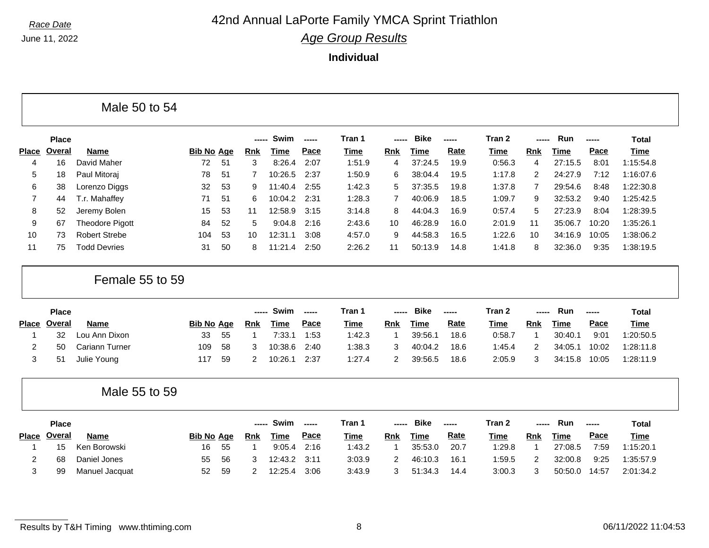June 11, 2022

#### *Race Date* **42nd Annual LaPorte Family YMCA Sprint Triathlon** *Age Group Results*

|                   |               | Male 50 to 54          |                   |    |                |             |                          |             |                |             |             |             |                |             |       |              |
|-------------------|---------------|------------------------|-------------------|----|----------------|-------------|--------------------------|-------------|----------------|-------------|-------------|-------------|----------------|-------------|-------|--------------|
|                   | <b>Place</b>  |                        |                   |    | $---$          | Swim        | $\frac{1}{2}$            | Tran 1      | -----          | <b>Bike</b> | -----       | Tran 2      |                | Run         | ----- | <b>Total</b> |
| <b>Place</b>      | <b>Overal</b> | <b>Name</b>            | <b>Bib No Age</b> |    | <b>Rnk</b>     | <b>Time</b> | Pace                     | <b>Time</b> | Rnk            | <b>Time</b> | Rate        | Time        | Rnk            | <b>Time</b> | Pace  | <b>Time</b>  |
| 4                 | 16            | David Maher            | 72                | 51 | 3              | 8:26.4      | 2:07                     | 1:51.9      | 4              | 37:24.5     | 19.9        | 0:56.3      | 4              | 27:15.5     | 8:01  | 1:15:54.8    |
| 5                 | 18            | Paul Mitoraj           | 78                | 51 | 7              | 10:26.5     | 2:37                     | 1:50.9      | 6              | 38:04.4     | 19.5        | 1:17.8      | 2              | 24:27.9     | 7:12  | 1:16:07.6    |
| 6                 | 38            | Lorenzo Diggs          | 32                | 53 | 9              | 11:40.4     | 2:55                     | 1:42.3      | 5              | 37:35.5     | 19.8        | 1:37.8      | $\overline{7}$ | 29:54.6     | 8:48  | 1:22:30.8    |
| 7                 | 44            | T.r. Mahaffey          | 71                | 51 | 6              | 10:04.2     | 2:31                     | 1:28.3      | $\overline{7}$ | 40:06.9     | 18.5        | 1:09.7      | 9              | 32:53.2     | 9:40  | 1:25:42.5    |
| 8                 | 52            | Jeremy Bolen           | 15                | 53 | 11             | 12:58.9     | 3:15                     | 3:14.8      | 8              | 44:04.3     | 16.9        | 0:57.4      | 5              | 27:23.9     | 8:04  | 1:28:39.5    |
| 9                 | 67            | <b>Theodore Pigott</b> | 84                | 52 | 5              | 9:04.8      | 2:16                     | 2:43.6      | 10             | 46:28.9     | 16.0        | 2:01.9      | 11             | 35:06.7     | 10:20 | 1:35:26.1    |
| 10                | 73            | <b>Robert Strebe</b>   | 104               | 53 | 10             | 12:31.1     | 3:08                     | 4:57.0      | 9              | 44:58.3     | 16.5        | 1:22.6      | 10             | 34:16.9     | 10:05 | 1:38:06.2    |
| 11                | 75            | <b>Todd Devries</b>    | 31                | 50 | 8              | 11:21.4     | 2:50                     | 2:26.2      | 11             | 50:13.9     | 14.8        | 1:41.8      | 8              | 32:36.0     | 9:35  | 1:38:19.5    |
|                   |               |                        |                   |    |                |             |                          |             |                |             |             |             |                |             |       |              |
|                   | Place         | Female 55 to 59        |                   |    |                | Swim        | $\overline{\phantom{a}}$ | Tran 1      |                | <b>Bike</b> | -----       | Tran 2      |                | Run         | ----- | <b>Total</b> |
|                   | Place Overal  | <b>Name</b>            | <b>Bib No Age</b> |    | <b>Rnk</b>     | <b>Time</b> | Pace                     | Time        | Rnk            | <b>Time</b> | Rate        | <b>Time</b> | <b>Rnk</b>     | <b>Time</b> | Pace  | <b>Time</b>  |
| -1                | 32            | Lou Ann Dixon          | 33                | 55 | 1              | 7:33.1      | 1:53                     | 1:42.3      | $\mathbf{1}$   | 39:56.1     | 18.6        | 0:58.7      | $\mathbf{1}$   | 30:40.1     | 9:01  | 1:20:50.5    |
| $\overline{c}$    | 50            | Cariann Turner         | 109               | 58 | 3              | 10:38.6     | 2:40                     | 1:38.3      | 3              | 40:04.2     | 18.6        | 1:45.4      | 2              | 34:05.1     | 10:02 | 1:28:11.8    |
| 3                 | 51            | Julie Young            | 117               | 59 | 2              | 10:26.1     | 2:37                     | 1:27.4      | $\overline{2}$ | 39:56.5     | 18.6        | 2:05.9      | 3              | 34:15.8     | 10:05 | 1:28:11.9    |
|                   |               | Male 55 to 59          |                   |    |                |             |                          |             |                |             |             |             |                |             |       |              |
|                   | <b>Place</b>  |                        |                   |    | -----          | Swim        | $\overline{\phantom{a}}$ | Tran 1      | -----          | <b>Bike</b> | -----       | Tran 2      | -----          | Run         | ----- | <b>Total</b> |
|                   | <b>Overal</b> | <b>Name</b>            | <b>Bib No Age</b> |    | <b>Rnk</b>     | <b>Time</b> | Pace                     | Time        | Rnk            | <b>Time</b> | <b>Rate</b> | <b>Time</b> | Rnk            | <b>Time</b> | Pace  | <b>Time</b>  |
| 1                 | 15            | Ken Borowski           | 16                | 55 | $\overline{1}$ | 9:05.4      | 2:16                     | 1:43.2      | $\mathbf{1}$   | 35:53.0     | 20.7        | 1:29.8      | $\mathbf{1}$   | 27:08.5     | 7:59  | 1:15:20.1    |
| <b>Place</b><br>2 | 68            | Daniel Jones           | 55                | 56 | 3              | 12:43.2     | 3:11                     | 3:03.9      | 2              | 46:10.3     | 16.1        | 1:59.5      | 2              | 32:00.8     | 9:25  | 1:35:57.9    |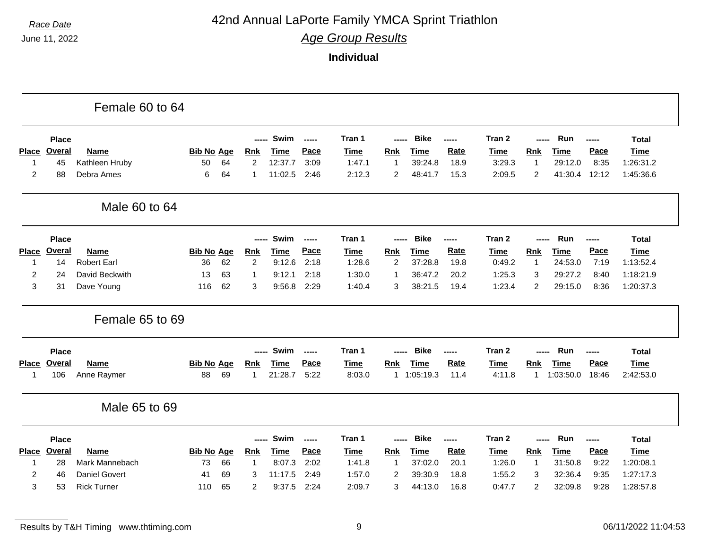### *Race Date* **42nd Annual LaPorte Family YMCA Sprint Triathlon**

*Age Group Results*

|                |               | Female 60 to 64      |                   |    |                |             |               |             |                |             |             |             |                |             |        |              |
|----------------|---------------|----------------------|-------------------|----|----------------|-------------|---------------|-------------|----------------|-------------|-------------|-------------|----------------|-------------|--------|--------------|
|                | <b>Place</b>  |                      |                   |    | -----          | Swim        | $-$           | Tran 1      | -----          | <b>Bike</b> | -----       | Tran 2      | -----          | Run         | -----  | <b>Total</b> |
| <b>Place</b>   | Overal        | Name                 | <b>Bib No Age</b> |    | <b>Rnk</b>     | <b>Time</b> | Pace          | <b>Time</b> | <b>Rnk</b>     | <b>Time</b> | Rate        | <b>Time</b> | <b>Rnk</b>     | Time        | Pace   | <b>Time</b>  |
| 1              | 45            | Kathleen Hruby       | 50                | 64 | $\overline{2}$ | 12:37.7     | 3:09          | 1:47.1      | $\overline{1}$ | 39:24.8     | 18.9        | 3:29.3      | $\mathbf{1}$   | 29:12.0     | 8:35   | 1:26:31.2    |
| $\overline{2}$ | 88            | Debra Ames           | 6                 | 64 | 1              | 11:02.5     | 2:46          | 2:12.3      | $\overline{2}$ | 48:41.7     | 15.3        | 2:09.5      | 2              | 41:30.4     | 12:12  | 1:45:36.6    |
|                |               | Male 60 to 64        |                   |    |                |             |               |             |                |             |             |             |                |             |        |              |
|                | <b>Place</b>  |                      |                   |    | -----          | Swim        | $---$         | Tran 1      |                | <b>Bike</b> | ------      | Tran 2      |                | Run         | ------ | <b>Total</b> |
| <b>Place</b>   | <b>Overal</b> | Name                 | <b>Bib No Age</b> |    | <b>Rnk</b>     | <b>Time</b> | Pace          | <b>Time</b> | <b>Rnk</b>     | <b>Time</b> | <b>Rate</b> | <b>Time</b> | <b>Rnk</b>     | <b>Time</b> | Pace   | <b>Time</b>  |
| 1              | 14            | <b>Robert Earl</b>   | 36                | 62 | $\overline{2}$ | 9:12.6      | 2:18          | 1:28.6      | $\overline{c}$ | 37:28.8     | 19.8        | 0:49.2      | $\mathbf{1}$   | 24:53.0     | 7:19   | 1:13:52.4    |
| $\overline{2}$ | 24            | David Beckwith       | 13                | 63 | 1              | 9:12.1      | 2:18          | 1:30.0      | $\overline{1}$ | 36:47.2     | 20.2        | 1:25.3      | 3              | 29:27.2     | 8:40   | 1:18:21.9    |
| 3              | 31            | Dave Young           | 116               | 62 | 3              | 9:56.8      | 2:29          | 1:40.4      | 3              | 38:21.5     | 19.4        | 1:23.4      | $\overline{2}$ | 29:15.0     | 8:36   | 1:20:37.3    |
|                |               | Female 65 to 69      |                   |    |                |             |               |             |                |             |             |             |                |             |        |              |
|                | <b>Place</b>  |                      |                   |    |                | Swim        | $- - - - -$   | Tran 1      |                | <b>Bike</b> | -----       | Tran 2      |                | Run         | -----  | <b>Total</b> |
| <b>Place</b>   | Overal        | <b>Name</b>          | <b>Bib No Age</b> |    | Rnk            | <b>Time</b> | Pace          | <b>Time</b> | <b>Rnk</b>     | Time        | Rate        | <b>Time</b> | Rnk            | <b>Time</b> | Pace   | <b>Time</b>  |
| 1              | 106           | Anne Raymer          | 88                | 69 | 1              | 21:28.7     | 5:22          | 8:03.0      |                | 1 1:05:19.3 | 11.4        | 4:11.8      | $\mathbf{1}$   | 1:03:50.0   | 18:46  | 2:42:53.0    |
|                |               | Male 65 to 69        |                   |    |                |             |               |             |                |             |             |             |                |             |        |              |
|                | <b>Place</b>  |                      |                   |    | -----          | Swim        | $\frac{1}{2}$ | Tran 1      | -----          | <b>Bike</b> | -----       | Tran 2      | -----          | Run         | -----  | <b>Total</b> |
| <b>Place</b>   | Overal        | Name                 | <b>Bib No Age</b> |    | <b>Rnk</b>     | <b>Time</b> | Pace          | <b>Time</b> | <b>Rnk</b>     | <b>Time</b> | Rate        | <b>Time</b> | <b>Rnk</b>     | <b>Time</b> | Pace   | <b>Time</b>  |
| -1             | 28            | Mark Mannebach       | 73                | 66 | $\overline{1}$ | 8:07.3      | 2:02          | 1:41.8      | $\mathbf{1}$   | 37:02.0     | 20.1        | 1:26.0      | $\mathbf{1}$   | 31:50.8     | 9:22   | 1:20:08.1    |
|                |               |                      |                   |    |                |             |               |             |                |             |             |             |                |             |        |              |
| $\overline{2}$ | 46            | <b>Daniel Govert</b> | 41                | 69 | 3              | 11:17.5     | 2:49          | 1:57.0      | 2              | 39:30.9     | 18.8        | 1:55.2      | 3              | 32:36.4     | 9:35   | 1:27:17.3    |